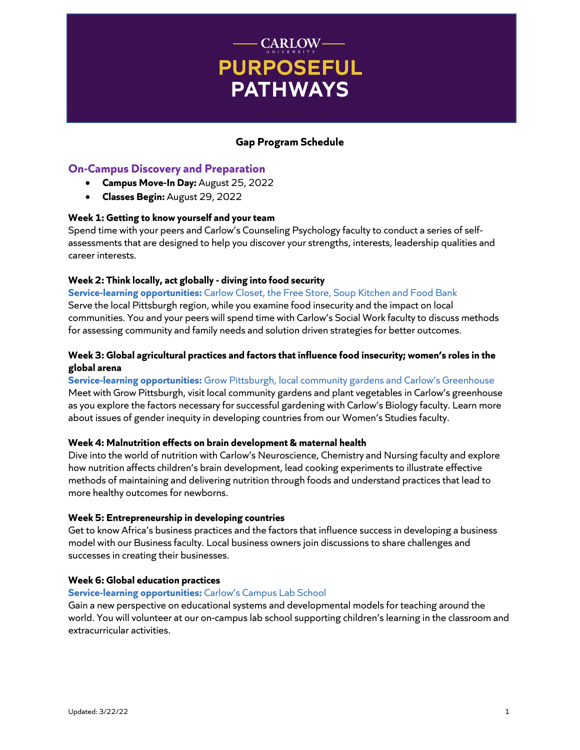# - CARLOW-**PURPOSEFUL PATHWAYS**

## **Gap Program Schedule**

## **On-Campus Discovery and Preparation**

- **Campus Move-In Day:** August 25, 2022
- **Classes Begin:** August 29, 2022

### **Week 1: Getting to know yourself and your team**

Spend time with your peers and Carlow's Counseling Psychology faculty to conduct a series of selfassessments that are designed to help you discover your strengths, interests, leadership qualities and career interests.

## **Week 2: Think locally, act globally - diving into food security**

**Service-learning opportunities:** Carlow Closet, the Free Store, Soup Kitchen and Food Bank Serve the local Pittsburgh region, while you examine food insecurity and the impact on local communities. You and your peers will spend time with Carlow's Social Work faculty to discuss methods for assessing community and family needs and solution driven strategies for better outcomes.

## **Week 3: Global agricultural practices and factors that influence food insecurity; women's roles in the global arena**

## **Service-learning opportunities:** Grow Pittsburgh, local community gardens and Carlow's Greenhouse Meet with Grow Pittsburgh, visit local community gardens and plant vegetables in Carlow's greenhouse as you explore the factors necessary for successful gardening with Carlow's Biology faculty. Learn more about issues of gender inequity in developing countries from our Women's Studies faculty.

## **Week 4: Malnutrition effects on brain development & maternal health**

Dive into the world of nutrition with Carlow's Neuroscience, Chemistry and Nursing faculty and explore how nutrition affects children's brain development, lead cooking experiments to illustrate effective methods of maintaining and delivering nutrition through foods and understand practices that lead to more healthy outcomes for newborns.

#### **Week 5: Entrepreneurship in developing countries**

Get to know Africa's business practices and the factors that influence success in developing a business model with our Business faculty. Local business owners join discussions to share challenges and successes in creating their businesses.

#### **Week 6: Global education practices**

#### **Service-learning opportunities:** Carlow's Campus Lab School

Gain a new perspective on educational systems and developmental models for teaching around the world. You will volunteer at our on-campus lab school supporting children's learning in the classroom and extracurricular activities.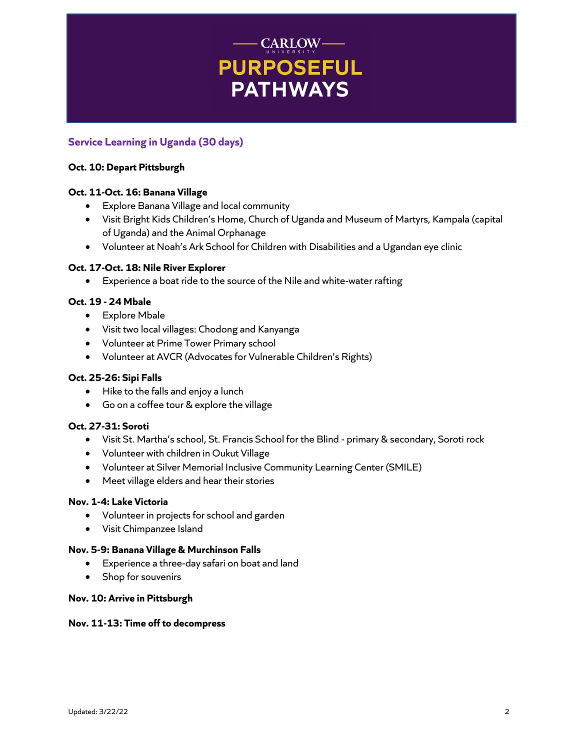# $\begin{array}{c} \hspace{-2.5mm}\textbf{CARLOW}\hspace{-2.6mm}\textbf{C} \end{array}$ **PURPOSEFUL PATHWAYS**

# **Service Learning in Uganda (30 days)**

## **Oct. 10: Depart Pittsburgh**

## **Oct. 11-Oct. 16: Banana Village**

- Explore Banana Village and local community
- Visit Bright Kids Children's Home, Church of Uganda and Museum of Martyrs, Kampala (capital of Uganda) and the Animal Orphanage
- Volunteer at Noah's Ark School for Children with Disabilities and a Ugandan eye clinic

### **Oct. 17-Oct. 18: Nile River Explorer**

• Experience a boat ride to the source of the Nile and white-water rafting

## **Oct. 19 - 24 Mbale**

- Explore Mbale
- Visit two local villages: Chodong and Kanyanga
- Volunteer at Prime Tower Primary school
- Volunteer at AVCR (Advocates for Vulnerable Children's Rights)

#### **Oct. 25-26: Sipi Falls**

- Hike to the falls and enjoy a lunch
- Go on a coffee tour & explore the village

#### **Oct. 27-31: Soroti**

- Visit St. Martha's school, St. Francis School for the Blind primary & secondary, Soroti rock
- Volunteer with children in Oukut Village
- Volunteer at Silver Memorial Inclusive Community Learning Center (SMILE)
- Meet village elders and hear their stories

## **Nov. 1-4: Lake Victoria**

- Volunteer in projects for school and garden
- Visit Chimpanzee Island

#### **Nov. 5-9: Banana Village & Murchinson Falls**

- Experience a three-day safari on boat and land
- Shop for souvenirs

#### **Nov. 10: Arrive in Pittsburgh**

#### **Nov. 11-13: Time off to decompress**